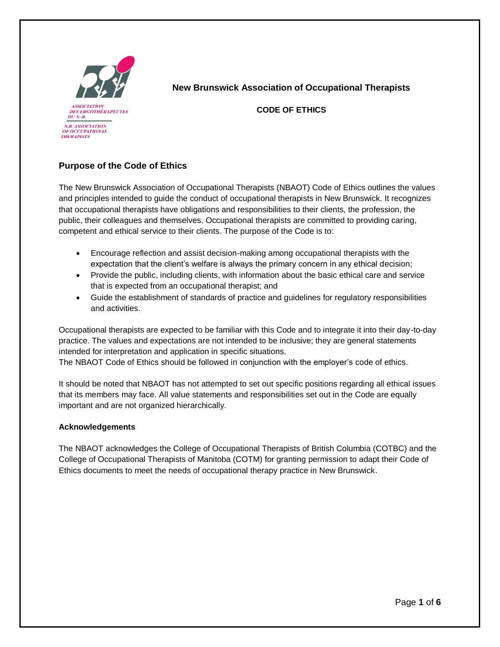

**New Brunswick Association of Occupational Therapists** 

**CODE OF ETHICS**

## **Purpose of the Code of Ethics**

The New Brunswick Association of Occupational Therapists (NBAOT) Code of Ethics outlines the values and principles intended to guide the conduct of occupational therapists in New Brunswick. It recognizes that occupational therapists have obligations and responsibilities to their clients, the profession, the public, their colleagues and themselves. Occupational therapists are committed to providing caring, competent and ethical service to their clients. The purpose of the Code is to:

- Encourage reflection and assist decision-making among occupational therapists with the expectation that the client's welfare is always the primary concern in any ethical decision;
- Provide the public, including clients, with information about the basic ethical care and service that is expected from an occupational therapist; and
- Guide the establishment of standards of practice and guidelines for regulatory responsibilities and activities.

Occupational therapists are expected to be familiar with this Code and to integrate it into their day-to-day practice. The values and expectations are not intended to be inclusive; they are general statements intended for interpretation and application in specific situations.

The NBAOT Code of Ethics should be followed in conjunction with the employer's code of ethics.

It should be noted that NBAOT has not attempted to set out specific positions regarding all ethical issues that its members may face. All value statements and responsibilities set out in the Code are equally important and are not organized hierarchically.

## **Acknowledgements**

The NBAOT acknowledges the College of Occupational Therapists of British Columbia (COTBC) and the College of Occupational Therapists of Manitoba (COTM) for granting permission to adapt their Code of Ethics documents to meet the needs of occupational therapy practice in New Brunswick.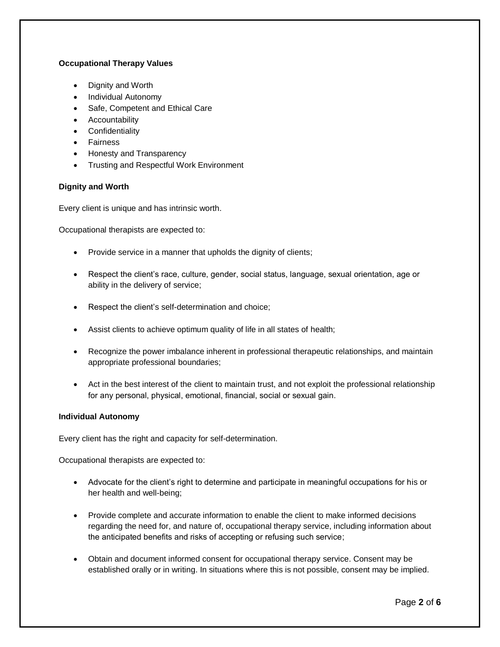## **Occupational Therapy Values**

- Dignity and Worth
- Individual Autonomy
- Safe, Competent and Ethical Care
- **•** Accountability
- **•** Confidentiality
- Fairness
- Honesty and Transparency
- **•** Trusting and Respectful Work Environment

#### **Dignity and Worth**

Every client is unique and has intrinsic worth.

Occupational therapists are expected to:

- Provide service in a manner that upholds the dignity of clients;
- Respect the client's race, culture, gender, social status, language, sexual orientation, age or ability in the delivery of service;
- Respect the client's self-determination and choice;
- Assist clients to achieve optimum quality of life in all states of health;
- Recognize the power imbalance inherent in professional therapeutic relationships, and maintain appropriate professional boundaries;
- Act in the best interest of the client to maintain trust, and not exploit the professional relationship for any personal, physical, emotional, financial, social or sexual gain.

#### **Individual Autonomy**

Every client has the right and capacity for self-determination.

- Advocate for the client's right to determine and participate in meaningful occupations for his or her health and well-being;
- Provide complete and accurate information to enable the client to make informed decisions regarding the need for, and nature of, occupational therapy service, including information about the anticipated benefits and risks of accepting or refusing such service;
- Obtain and document informed consent for occupational therapy service. Consent may be established orally or in writing. In situations where this is not possible, consent may be implied.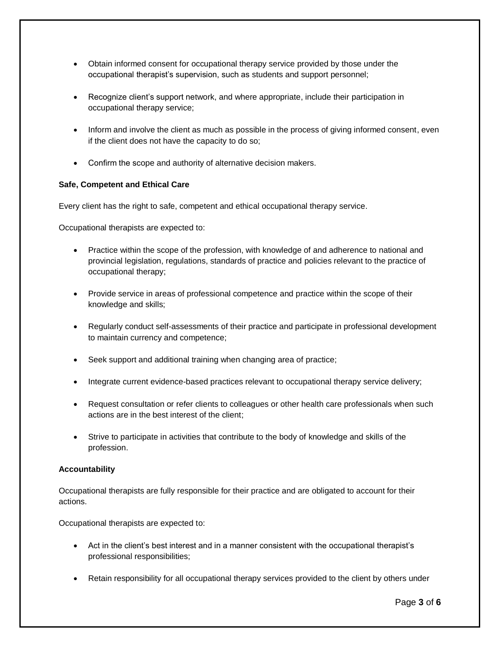- Obtain informed consent for occupational therapy service provided by those under the occupational therapist's supervision, such as students and support personnel;
- Recognize client's support network, and where appropriate, include their participation in occupational therapy service;
- Inform and involve the client as much as possible in the process of giving informed consent, even if the client does not have the capacity to do so;
- Confirm the scope and authority of alternative decision makers.

## **Safe, Competent and Ethical Care**

Every client has the right to safe, competent and ethical occupational therapy service.

Occupational therapists are expected to:

- Practice within the scope of the profession, with knowledge of and adherence to national and provincial legislation, regulations, standards of practice and policies relevant to the practice of occupational therapy;
- Provide service in areas of professional competence and practice within the scope of their knowledge and skills;
- Regularly conduct self-assessments of their practice and participate in professional development to maintain currency and competence;
- Seek support and additional training when changing area of practice;
- Integrate current evidence-based practices relevant to occupational therapy service delivery;
- Request consultation or refer clients to colleagues or other health care professionals when such actions are in the best interest of the client;
- Strive to participate in activities that contribute to the body of knowledge and skills of the profession.

## **Accountability**

Occupational therapists are fully responsible for their practice and are obligated to account for their actions.

- Act in the client's best interest and in a manner consistent with the occupational therapist's professional responsibilities;
- Retain responsibility for all occupational therapy services provided to the client by others under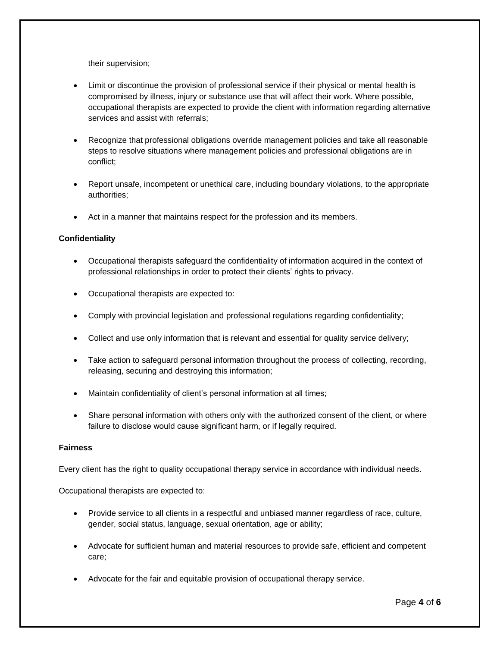their supervision;

- Limit or discontinue the provision of professional service if their physical or mental health is compromised by illness, injury or substance use that will affect their work. Where possible, occupational therapists are expected to provide the client with information regarding alternative services and assist with referrals;
- Recognize that professional obligations override management policies and take all reasonable steps to resolve situations where management policies and professional obligations are in conflict;
- Report unsafe, incompetent or unethical care, including boundary violations, to the appropriate authorities;
- Act in a manner that maintains respect for the profession and its members.

#### **Confidentiality**

- Occupational therapists safeguard the confidentiality of information acquired in the context of professional relationships in order to protect their clients' rights to privacy.
- Occupational therapists are expected to:
- Comply with provincial legislation and professional regulations regarding confidentiality;
- Collect and use only information that is relevant and essential for quality service delivery;
- Take action to safeguard personal information throughout the process of collecting, recording, releasing, securing and destroying this information;
- Maintain confidentiality of client's personal information at all times;
- Share personal information with others only with the authorized consent of the client, or where failure to disclose would cause significant harm, or if legally required.

#### **Fairness**

Every client has the right to quality occupational therapy service in accordance with individual needs.

- Provide service to all clients in a respectful and unbiased manner regardless of race, culture, gender, social status, language, sexual orientation, age or ability;
- Advocate for sufficient human and material resources to provide safe, efficient and competent care;
- Advocate for the fair and equitable provision of occupational therapy service.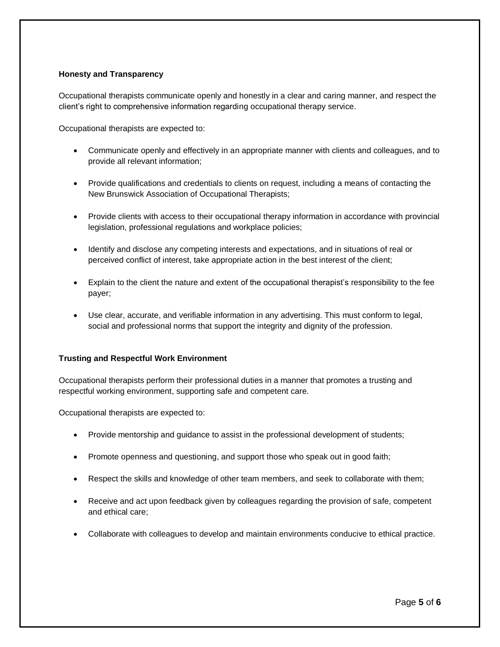#### **Honesty and Transparency**

Occupational therapists communicate openly and honestly in a clear and caring manner, and respect the client's right to comprehensive information regarding occupational therapy service.

Occupational therapists are expected to:

- Communicate openly and effectively in an appropriate manner with clients and colleagues, and to provide all relevant information;
- Provide qualifications and credentials to clients on request, including a means of contacting the New Brunswick Association of Occupational Therapists;
- Provide clients with access to their occupational therapy information in accordance with provincial legislation, professional regulations and workplace policies;
- Identify and disclose any competing interests and expectations, and in situations of real or perceived conflict of interest, take appropriate action in the best interest of the client;
- Explain to the client the nature and extent of the occupational therapist's responsibility to the fee payer;
- Use clear, accurate, and verifiable information in any advertising. This must conform to legal, social and professional norms that support the integrity and dignity of the profession.

#### **Trusting and Respectful Work Environment**

Occupational therapists perform their professional duties in a manner that promotes a trusting and respectful working environment, supporting safe and competent care.

- Provide mentorship and guidance to assist in the professional development of students;
- Promote openness and questioning, and support those who speak out in good faith;
- Respect the skills and knowledge of other team members, and seek to collaborate with them;
- Receive and act upon feedback given by colleagues regarding the provision of safe, competent and ethical care;
- Collaborate with colleagues to develop and maintain environments conducive to ethical practice.